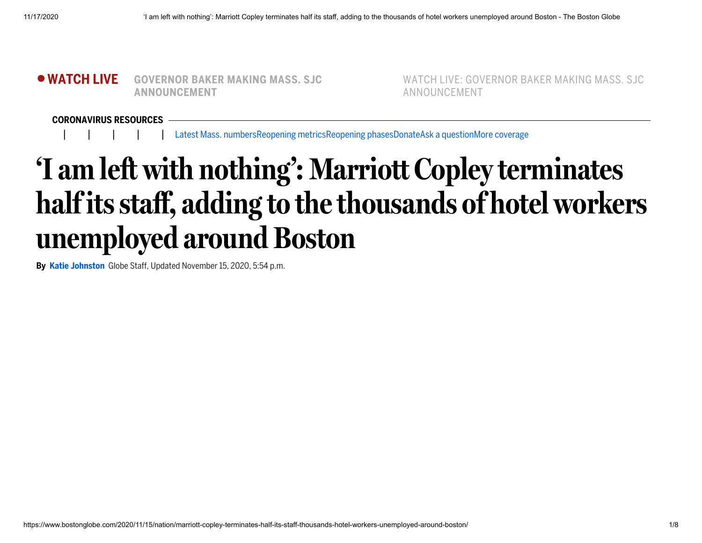## ●**WATCH LIVE GOVERNOR BAKER MAKING MASS. SJC [ANNOUNCEMENT](https://www.bostonglobe.com/2020/11/17/metro/watch-live-1-pm-governor-baker-make-mass-sjc-announcement/?p1=BGHeader_BreakingBar_Headline)**

WATCH LIVE: GOVERNOR BAKER MAKING MASS. SJC [ANNOUNCEMENT](https://www.bostonglobe.com/2020/11/17/metro/watch-live-1-pm-governor-baker-make-mass-sjc-announcement/?p1=BGHeader_BreakingBar_Headline)

## **CORONAVIRUS RESOURCES**

Latest Mass. [numbers](https://www.bostonglobe.com/2020/03/10/nation/latest-coronavirus-numbers-massachusetts/?p1=Article_Utility)[Reopening](https://www.bostonglobe.com/2020/05/18/metro/look-what-can-reopen-each-phase-massachusetts-opening-plan/?p1=Article_Utility) metricsReopening phases[DonateA](https://www.bostonglobe.com/2020/03/15/metro/heres-how-you-can-donate-organizations-helping-people-affected-by-covid-19-shutdowns/?p1=Article_Utility)sk a [question](https://www.bostonglobe.com/2020/02/28/metro/tell-us-what-you-want-know-about-coronavirus/?p1=Article_Utility)More [coverage](https://www.bostonglobe.com/2020/03/06/nation/coronavirus-crisis/?p1=Article_Utility)

## **'I am left with nothing': Marriott Copleyterminates half** its staff, adding to the thousands of hotel workers **unemployed around Boston**

**By Katie [Johnston](https://www.bostonglobe.com/about/staff-list/staff/katie-johnston/?p1=Article_Byline)** Globe Staff, Updated November 15, 2020, 5:54 p.m.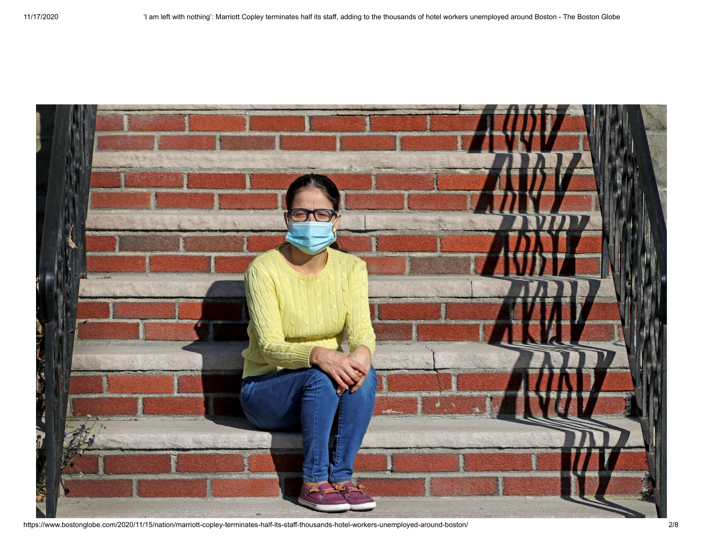

https://www.bostonglobe.com/2020/11/15/nation/marriott-copley-terminates-half-its-staff-thousands-hotel-workers-unemployed-around-boston/ 2/8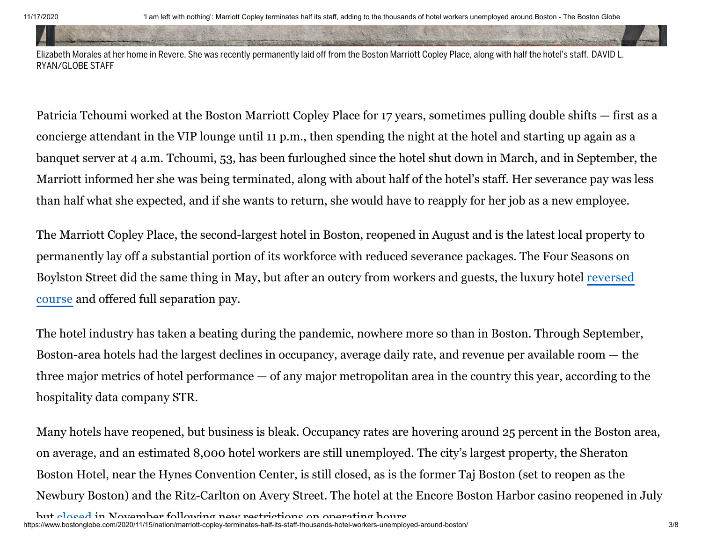Elizabeth Morales at her home in Revere. She was recently permanently laid off from the Boston Marriott Copley Place, along with half the hotel's staff. DAVID L. RYAN/GLOBE STAFF

Patricia Tchoumi worked at the Boston Marriott Copley Place for 17 years, sometimes pulling double shifts — first as a concierge attendant in the VIP lounge until 11 p.m., then spending the night at the hotel and starting up again as a banquet server at 4 a.m. Tchoumi, 53, has been furloughed since the hotel shut down in March, and in September, the Marriott informed her she was being terminated, along with about half of the hotel's staff. Her severance pay was less than half what she expected, and if she wants to return, she would have to reapply for her job as a new employee.

The Marriott Copley Place, the second-largest hotel in Boston, reopened in August and is the latest local property to permanently lay off a substantial portion of its workforce with reduced severance packages. The Four Seasons on [Boylston Street did the same thing in May, but after an outcry from workers and guests, the luxury hotel reversed](https://www.bostonglobe.com/2020/06/17/nation/four-seasons-reverses-course-severance-pay-promises-full-package-laid-off-workers/?p1=Article_Inline_Text_Link) course and offered full separation pay.

The hotel industry has taken a beating during the pandemic, nowhere more so than in Boston. Through September, Boston-area hotels had the largest declines in occupancy, average daily rate, and revenue per available room — the three major metrics of hotel performance — of any major metropolitan area in the country this year, according to the hospitality data company STR.

Many hotels have reopened, but business is bleak. Occupancy rates are hovering around 25 percent in the Boston area, on average, and an estimated 8,000 hotel workers are still unemployed. The city's largest property, the Sheraton Boston Hotel, near the Hynes Convention Center, is still closed, as is the former Taj Boston (set to reopen as the Newbury Boston) and the Ritz-Carlton on Avery Street. The hotel at the Encore Boston Harbor casino reopened in July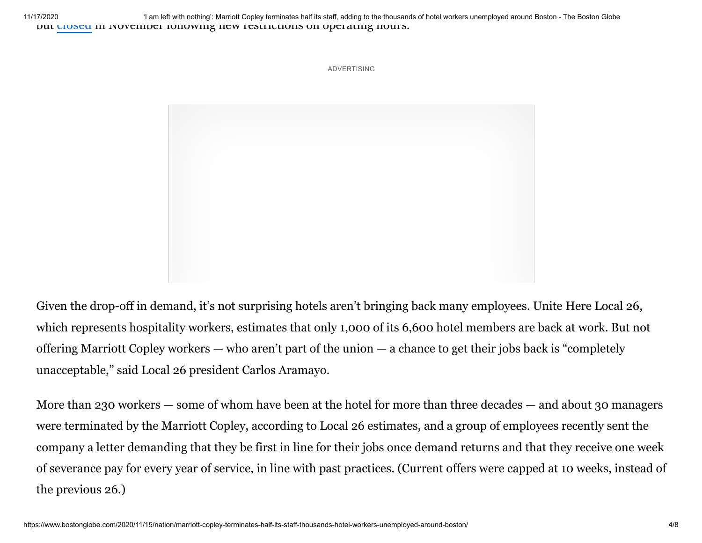11/17/2020 'I am left with nothing': Marriott Copley terminates half its staff, adding to the thousands of hotel workers unemployed around Boston - The Boston Globe but [closed](https://www.bostonglobe.com/2020/11/02/business/encore-close-hotel-amid-new-restrictions-operating-hours/?p1=Article_Inline_Text_Link) in November following new restrictions on operating hours.

ADVERTISING

Given the drop-off in demand, it's not surprising hotels aren't bringing back many employees. Unite Here Local 26, which represents hospitality workers, estimates that only 1,000 of its 6,600 hotel members are back at work. But not offering Marriott Copley workers — who aren't part of the union — a chance to get their jobs back is "completely unacceptable," said Local 26 president Carlos Aramayo.

More than 230 workers — some of whom have been at the hotel for more than three decades — and about 30 managers were terminated by the Marriott Copley, according to Local 26 estimates, and a group of employees recently sent the company a letter demanding that they be first in line for their jobs once demand returns and that they receive one week of severance pay for every year of service, in line with past practices. (Current offers were capped at 10 weeks, instead of the previous 26.)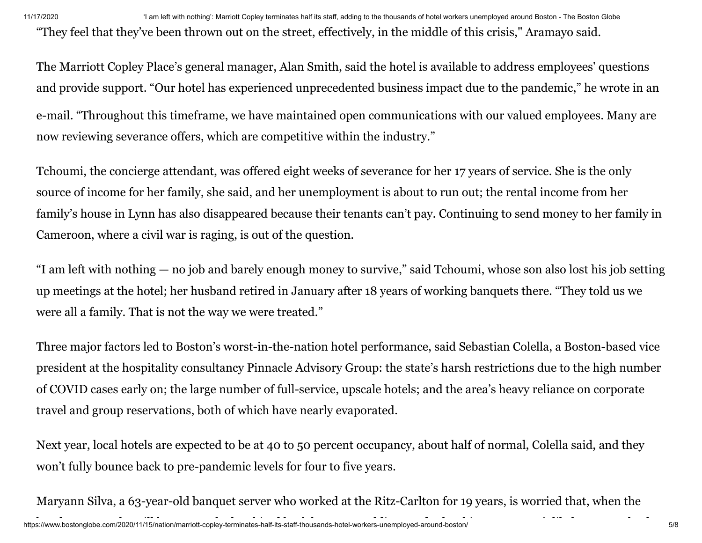11/17/2020 'I am left with nothing': Marriott Copley terminates half its staff, adding to the thousands of hotel workers unemployed around Boston - The Boston Globe "They feel that they've been thrown out on the street, effectively, in the middle of this crisis," Aramayo said.

The Marriott Copley Place's general manager, Alan Smith, said the hotel is available to address employees' questions and provide support. "Our hotel has experienced unprecedented business impact due to the pandemic," he wrote in an e-mail. "Throughout this timeframe, we have maintained open communications with our valued employees. Many are now reviewing severance offers, which are competitive within the industry."

Tchoumi, the concierge attendant, was offered eight weeks of severance for her 17 years of service. She is the only source of income for her family, she said, and her unemployment is about to run out; the rental income from her family's house in Lynn has also disappeared because their tenants can't pay. Continuing to send money to her family in Cameroon, where a civil war is raging, is out of the question.

"I am left with nothing — no job and barely enough money to survive," said Tchoumi, whose son also lost his job setting up meetings at the hotel; her husband retired in January after 18 years of working banquets there. "They told us we were all a family. That is not the way we were treated."

Three major factors led to Boston's worst-in-the-nation hotel performance, said Sebastian Colella, a Boston-based vice president at the hospitality consultancy Pinnacle Advisory Group: the state's harsh restrictions due to the high number of COVID cases early on; the large number of full-service, upscale hotels; and the area's heavy reliance on corporate travel and group reservations, both of which have nearly evaporated.

Next year, local hotels are expected to be at 40 to 50 percent occupancy, about half of normal, Colella said, and they won't fully bounce back to pre-pandemic levels for four to five years.

https://www.bostonglobe.com/2020/11/15/nation/marriott-copley-terminates-half-its-staff-thousands-hotel-workers-unemployed-around-boston/ 5/8 h l h ill b h l hi d b k b ddi d h bi ' lik l b kMaryann Silva, a 63-year-old banquet server who worked at the Ritz-Carlton for 19 years, is worried that, when the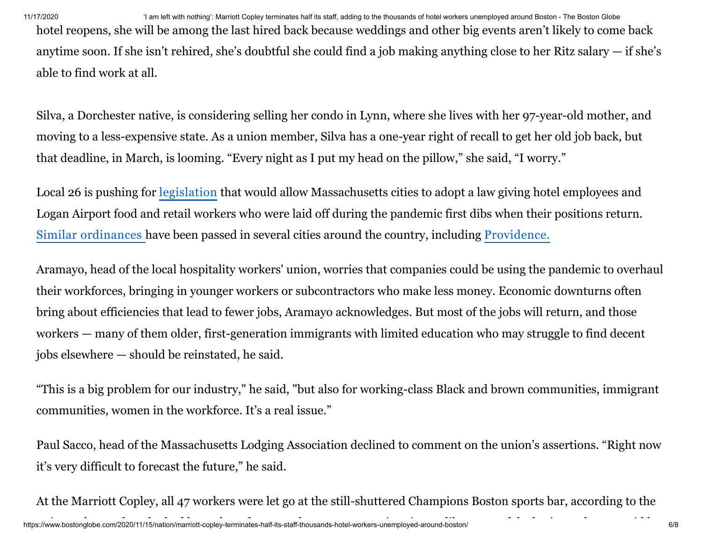11/17/2020 'I am left with nothing': Marriott Copley terminates half its staff, adding to the thousands of hotel workers unemployed around Boston - The Boston Globe

hotel reopens, she will be among the last hired back because weddings and other big events aren't likely to come back anytime soon. If she isn't rehired, she's doubtful she could find a job making anything close to her Ritz salary — if she's able to find work at all.

Silva, a Dorchester native, is considering selling her condo in Lynn, where she lives with her 97-year-old mother, and moving to a less-expensive state. As a union member, Silva has a one-year right of recall to get her old job back, but that deadline, in March, is looming. "Every night as I put my head on the pillow," she said, "I worry."

Local 26 is pushing for [legislation](https://malegislature.gov/Bills/GetAmendmentContent/191/H5150/17/House/Preview) that would allow Massachusetts cities to adopt a law giving hotel employees and Logan Airport food and retail workers who were laid off during the pandemic first dibs when their positions return. Similar [ordinances](https://time.com/5900062/coronavirus-layoffs-right-to-recall/) have been passed in several cities around the country, including [Providence.](https://turnto10.com/news/local/providence-city-council-passes-hospitality-worker-comeback)

Aramayo, head of the local hospitality workers' union, worries that companies could be using the pandemic to overhaul their workforces, bringing in younger workers or subcontractors who make less money. Economic downturns often bring about efficiencies that lead to fewer jobs, Aramayo acknowledges. But most of the jobs will return, and those workers — many of them older, first-generation immigrants with limited education who may struggle to find decent jobs elsewhere — should be reinstated, he said.

"This is a big problem for our industry," he said, "but also for working-class Black and brown communities, immigrant communities, women in the workforce. It's a real issue."

Paul Sacco, head of the Massachusetts Lodging Association declined to comment on the union's assertions. "Right now it's very difficult to forecast the future," he said.

ة المستقل المستقل المستقل المستقل المستقل المستقل المستقل المستقل المستقل المستقل المستقل المستقل المستقل المستقل ال<br>6/8 المستقل المستقل المستقل المستقل المستقل المستقل المستقل المستقل المستقل المستقل المستقل المستقل المس At the Marriott Copley, all 47 workers were let go at the still-shuttered Champions Boston sports bar, according to the